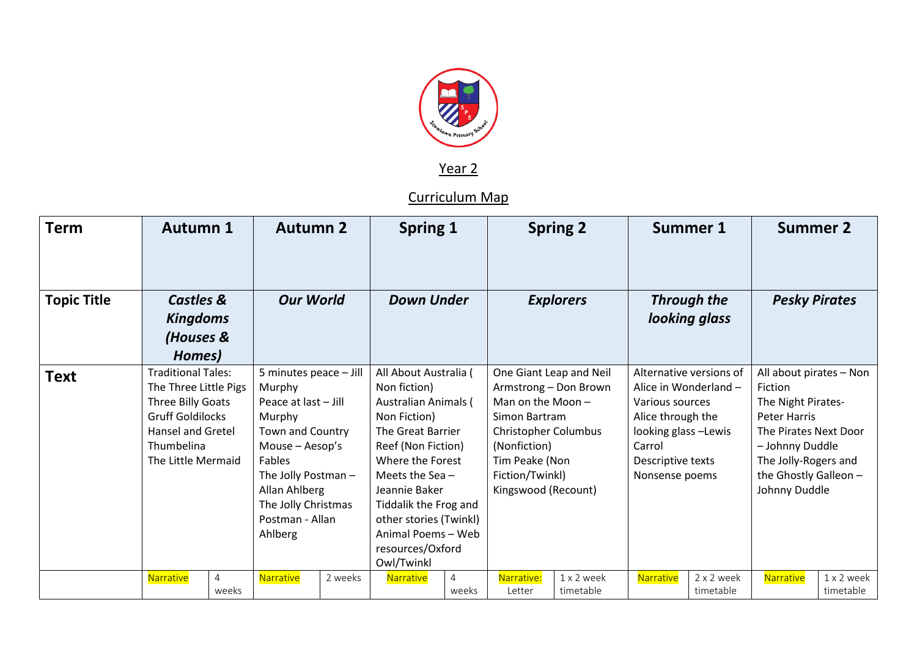

Year 2

Curriculum Map

| <b>Term</b>        | <b>Autumn 1</b>                                                                                                                                                    |            | <b>Autumn 2</b>                                                                                                                                                                                                    |         | <b>Spring 1</b>                                                                                                                                                                                                                                                                 |            |                                                                                                                                                                                           | <b>Spring 2</b>         |                                                                                                                                                                   | <b>Summer 1</b>         |                                                                                                                                                                                               | <b>Summer 2</b>         |
|--------------------|--------------------------------------------------------------------------------------------------------------------------------------------------------------------|------------|--------------------------------------------------------------------------------------------------------------------------------------------------------------------------------------------------------------------|---------|---------------------------------------------------------------------------------------------------------------------------------------------------------------------------------------------------------------------------------------------------------------------------------|------------|-------------------------------------------------------------------------------------------------------------------------------------------------------------------------------------------|-------------------------|-------------------------------------------------------------------------------------------------------------------------------------------------------------------|-------------------------|-----------------------------------------------------------------------------------------------------------------------------------------------------------------------------------------------|-------------------------|
| <b>Topic Title</b> | <b>Castles &amp;</b><br><b>Kingdoms</b><br>(Houses &<br>Homes)                                                                                                     |            | <b>Our World</b><br><b>Down Under</b>                                                                                                                                                                              |         | <b>Explorers</b>                                                                                                                                                                                                                                                                |            | <b>Through the</b><br>looking glass                                                                                                                                                       |                         |                                                                                                                                                                   | <b>Pesky Pirates</b>    |                                                                                                                                                                                               |                         |
| <b>Text</b>        | <b>Traditional Tales:</b><br>The Three Little Pigs<br>Three Billy Goats<br><b>Gruff Goldilocks</b><br><b>Hansel and Gretel</b><br>Thumbelina<br>The Little Mermaid |            | 5 minutes peace - Jill<br>Murphy<br>Peace at last - Jill<br>Murphy<br>Town and Country<br>Mouse - Aesop's<br>Fables<br>The Jolly Postman $-$<br>Allan Ahlberg<br>The Jolly Christmas<br>Postman - Allan<br>Ahlberg |         | All About Australia (<br>Non fiction)<br>Australian Animals (<br>Non Fiction)<br>The Great Barrier<br>Reef (Non Fiction)<br>Where the Forest<br>Meets the Sea $-$<br>Jeannie Baker<br>Tiddalik the Frog and<br>other stories (Twinkl)<br>Animal Poems - Web<br>resources/Oxford |            | One Giant Leap and Neil<br>Armstrong - Don Brown<br>Man on the Moon-<br>Simon Bartram<br>Christopher Columbus<br>(Nonfiction)<br>Tim Peake (Non<br>Fiction/Twinkl)<br>Kingswood (Recount) |                         | Alternative versions of<br>Alice in Wonderland -<br>Various sources<br>Alice through the<br>looking glass -Lewis<br>Carrol<br>Descriptive texts<br>Nonsense poems |                         | All about pirates - Non<br>Fiction<br>The Night Pirates-<br><b>Peter Harris</b><br>The Pirates Next Door<br>- Johnny Duddle<br>The Jolly-Rogers and<br>the Ghostly Galleon -<br>Johnny Duddle |                         |
|                    | <b>Narrative</b>                                                                                                                                                   | 4<br>weeks | Narrative                                                                                                                                                                                                          | 2 weeks | Owl/Twinkl<br>Narrative                                                                                                                                                                                                                                                         | 4<br>weeks | Narrative:<br>Letter                                                                                                                                                                      | 1 x 2 week<br>timetable | Narrative                                                                                                                                                         | 2 x 2 week<br>timetable | Narrative                                                                                                                                                                                     | 1 x 2 week<br>timetable |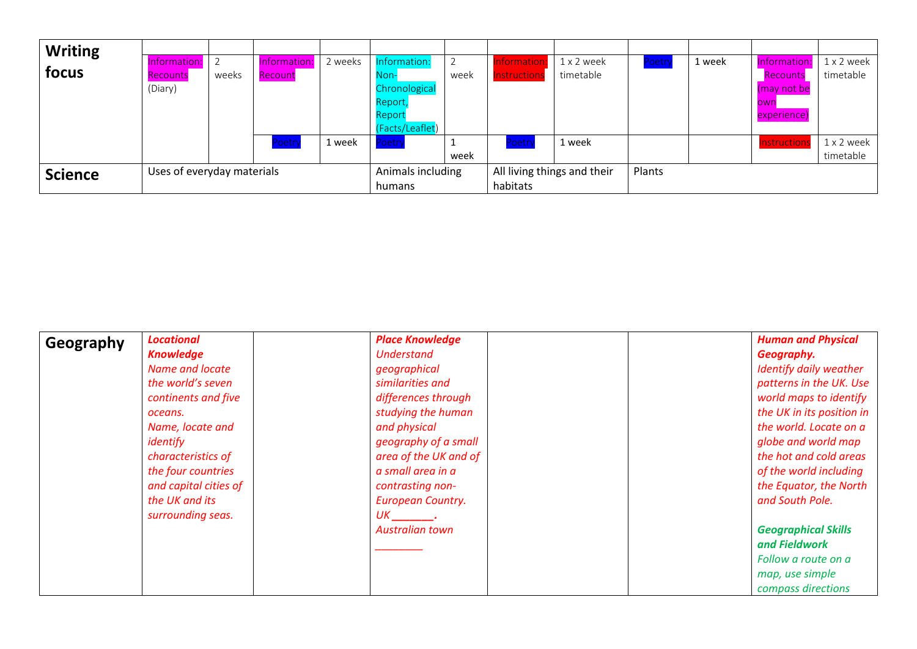| <b>Writing</b> |                            |       |              |                   |                    |                             |             |            |       |        |              |            |
|----------------|----------------------------|-------|--------------|-------------------|--------------------|-----------------------------|-------------|------------|-------|--------|--------------|------------|
|                | Information:               |       | Information: | 2 weeks           | Information:       |                             | nformatior  | 1 x 2 week | Poetr | 1 week | Information: | 1 x 2 week |
| focus          | Recounts                   | weeks | Recount      |                   | Non-l              | week                        | nstructions | timetable  |       |        | Recounts     | timetable  |
|                | (Diary)                    |       |              |                   | Chronological      |                             |             |            |       |        | (may not be  |            |
|                |                            |       |              |                   | Report             |                             |             |            |       |        | own          |            |
|                |                            |       |              |                   | Report             |                             |             |            |       |        | experience)  |            |
|                |                            |       |              |                   | (Facts/Leaflet)    |                             |             |            |       |        |              |            |
|                |                            |       | Poetry       | 1 week            | Poetry             |                             | Poetry      | 1 week     |       |        | Instruction: | 1 x 2 week |
|                |                            |       |              |                   |                    | week                        |             |            |       |        |              | timetable  |
| <b>Science</b> | Uses of everyday materials |       |              | Animals including |                    | All living things and their |             | Plants     |       |        |              |            |
|                |                            |       |              |                   | habitats<br>humans |                             |             |            |       |        |              |            |

| Geography | <b>Locational</b>      | <b>Place Knowledge</b>                                                                                        | <b>Human and Physical</b>  |
|-----------|------------------------|---------------------------------------------------------------------------------------------------------------|----------------------------|
|           | <b>Knowledge</b>       | <b>Understand</b>                                                                                             | Geography.                 |
|           | <b>Name and locate</b> | geographical                                                                                                  | Identify daily weather     |
|           | the world's seven      | similarities and                                                                                              | patterns in the UK. Use    |
|           | continents and five    | differences through                                                                                           | world maps to identify     |
|           | oceans.                | studying the human                                                                                            | the UK in its position in  |
|           | Name, locate and       | and physical                                                                                                  | the world. Locate on a     |
|           | identify               | geography of a small                                                                                          | globe and world map        |
|           | characteristics of     | area of the UK and of                                                                                         | the hot and cold areas     |
|           | the four countries     | a small area in a                                                                                             | of the world including     |
|           | and capital cities of  | contrasting non-                                                                                              | the Equator, the North     |
|           | the UK and its         | <b>European Country.</b>                                                                                      | and South Pole.            |
|           | surrounding seas.      | UK 1999 – 1999 – 1999 – 1999 – 1999 – 1999 – 1999 – 1999 – 1999 – 1999 – 1999 – 1999 – 1999 – 1999 – 1999 – 1 |                            |
|           |                        | <b>Australian town</b>                                                                                        | <b>Geographical Skills</b> |
|           |                        |                                                                                                               | and Fieldwork              |
|           |                        |                                                                                                               | Follow a route on a        |
|           |                        |                                                                                                               | map, use simple            |
|           |                        |                                                                                                               | compass directions         |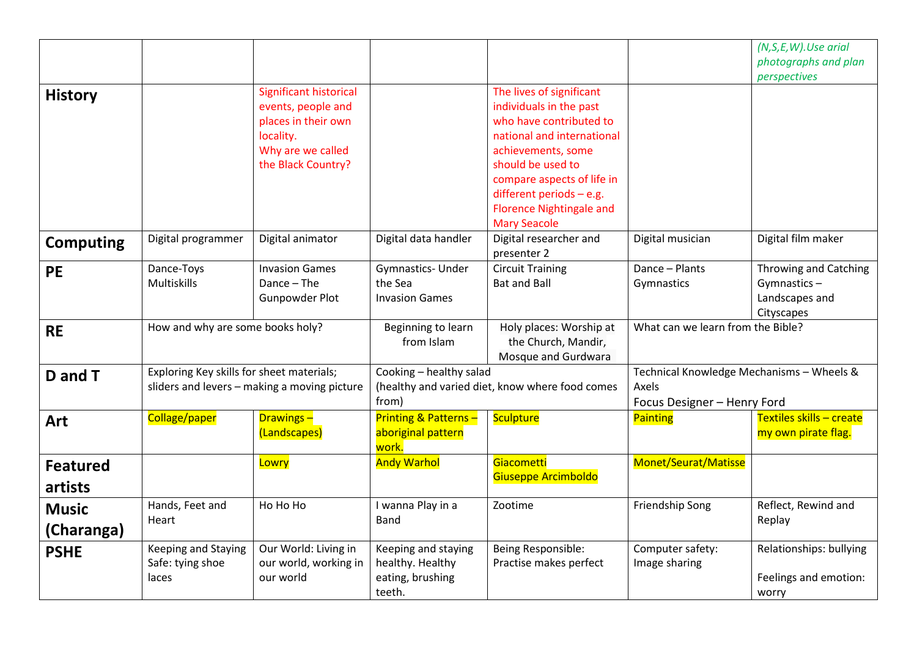|                            |                                                  |                                                                                                                             |                                                                       |                                                                                                                                                                                                                                                                               |                                                                                   | (N,S,E,W).Use arial<br>photographs and plan<br>perspectives          |  |
|----------------------------|--------------------------------------------------|-----------------------------------------------------------------------------------------------------------------------------|-----------------------------------------------------------------------|-------------------------------------------------------------------------------------------------------------------------------------------------------------------------------------------------------------------------------------------------------------------------------|-----------------------------------------------------------------------------------|----------------------------------------------------------------------|--|
| <b>History</b>             |                                                  | Significant historical<br>events, people and<br>places in their own<br>locality.<br>Why are we called<br>the Black Country? |                                                                       | The lives of significant<br>individuals in the past<br>who have contributed to<br>national and international<br>achievements, some<br>should be used to<br>compare aspects of life in<br>different periods $-$ e.g.<br><b>Florence Nightingale and</b><br><b>Mary Seacole</b> |                                                                                   |                                                                      |  |
| <b>Computing</b>           | Digital programmer                               | Digital animator                                                                                                            | Digital data handler                                                  | Digital researcher and<br>presenter 2                                                                                                                                                                                                                                         | Digital musician                                                                  | Digital film maker                                                   |  |
| <b>PE</b>                  | Dance-Toys<br>Multiskills                        | <b>Invasion Games</b><br>Dance - The<br><b>Gunpowder Plot</b>                                                               | Gymnastics- Under<br>the Sea<br><b>Invasion Games</b>                 | <b>Circuit Training</b><br><b>Bat and Ball</b>                                                                                                                                                                                                                                | Dance - Plants<br>Gymnastics                                                      | Throwing and Catching<br>Gymnastics-<br>Landscapes and<br>Cityscapes |  |
| <b>RE</b>                  | How and why are some books holy?                 |                                                                                                                             | Beginning to learn<br>from Islam                                      | Holy places: Worship at<br>the Church, Mandir,<br>Mosque and Gurdwara                                                                                                                                                                                                         | What can we learn from the Bible?                                                 |                                                                      |  |
| D and T                    | Exploring Key skills for sheet materials;        | sliders and levers - making a moving picture                                                                                | Cooking - healthy salad<br>from)                                      | (healthy and varied diet, know where food comes                                                                                                                                                                                                                               | Technical Knowledge Mechanisms - Wheels &<br>Axels<br>Focus Designer - Henry Ford |                                                                      |  |
| Art                        | Collage/paper                                    | <b>Drawings-</b><br>(Landscapes)                                                                                            | <b>Printing &amp; Patterns-</b><br>aboriginal pattern<br>work.        | Sculpture                                                                                                                                                                                                                                                                     | Painting                                                                          | Textiles skills - create<br>my own pirate flag.                      |  |
| <b>Featured</b><br>artists |                                                  | Lowry                                                                                                                       | <b>Andy Warhol</b>                                                    | Giacometti<br>Giuseppe Arcimboldo                                                                                                                                                                                                                                             | Monet/Seurat/Matisse                                                              |                                                                      |  |
| <b>Music</b><br>(Charanga) | Hands, Feet and<br>Heart                         | Ho Ho Ho                                                                                                                    | I wanna Play in a<br><b>Band</b>                                      | Zootime                                                                                                                                                                                                                                                                       | Friendship Song                                                                   | Reflect, Rewind and<br>Replay                                        |  |
| <b>PSHE</b>                | Keeping and Staying<br>Safe: tying shoe<br>laces | Our World: Living in<br>our world, working in<br>our world                                                                  | Keeping and staying<br>healthy. Healthy<br>eating, brushing<br>teeth. | Being Responsible:<br>Practise makes perfect                                                                                                                                                                                                                                  | Computer safety:<br>Image sharing                                                 | Relationships: bullying<br>Feelings and emotion:<br>worry            |  |